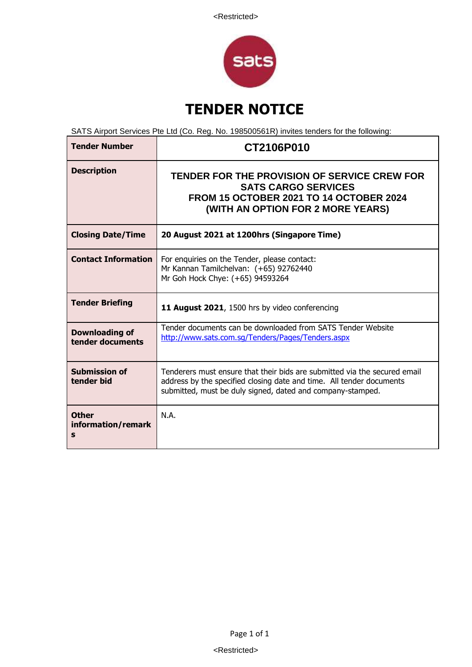

# **TENDER NOTICE**

SATS Airport Services Pte Ltd (Co. Reg. No. 198500561R) invites tenders for the following:

| <b>Tender Number</b>                      | CT2106P010                                                                                                                                                                                                      |
|-------------------------------------------|-----------------------------------------------------------------------------------------------------------------------------------------------------------------------------------------------------------------|
| <b>Description</b>                        | TENDER FOR THE PROVISION OF SERVICE CREW FOR<br><b>SATS CARGO SERVICES</b><br><b>FROM 15 OCTOBER 2021 TO 14 OCTOBER 2024</b><br>(WITH AN OPTION FOR 2 MORE YEARS)                                               |
| <b>Closing Date/Time</b>                  | 20 August 2021 at 1200hrs (Singapore Time)                                                                                                                                                                      |
| <b>Contact Information</b>                | For enquiries on the Tender, please contact:<br>Mr Kannan Tamilchelvan: (+65) 92762440<br>Mr Goh Hock Chye: (+65) 94593264                                                                                      |
| <b>Tender Briefing</b>                    | 11 August 2021, 1500 hrs by video conferencing                                                                                                                                                                  |
| <b>Downloading of</b><br>tender documents | Tender documents can be downloaded from SATS Tender Website<br>http://www.sats.com.sq/Tenders/Pages/Tenders.aspx                                                                                                |
| <b>Submission of</b><br>tender bid        | Tenderers must ensure that their bids are submitted via the secured email<br>address by the specified closing date and time. All tender documents<br>submitted, must be duly signed, dated and company-stamped. |
| <b>Other</b><br>information/remark<br>S   | N.A.                                                                                                                                                                                                            |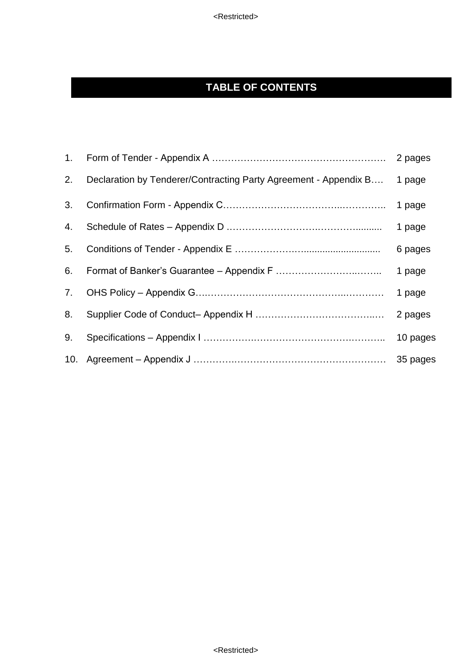<Restricted>

## **TABLE OF CONTENTS**

|    |                                                                  | 2 pages  |
|----|------------------------------------------------------------------|----------|
| 2. | Declaration by Tenderer/Contracting Party Agreement - Appendix B | 1 page   |
| 3. |                                                                  | 1 page   |
| 4. |                                                                  | 1 page   |
| 5. |                                                                  | 6 pages  |
| 6. |                                                                  | 1 page   |
| 7. |                                                                  | 1 page   |
| 8. |                                                                  | 2 pages  |
| 9. |                                                                  | 10 pages |
|    |                                                                  | 35 pages |